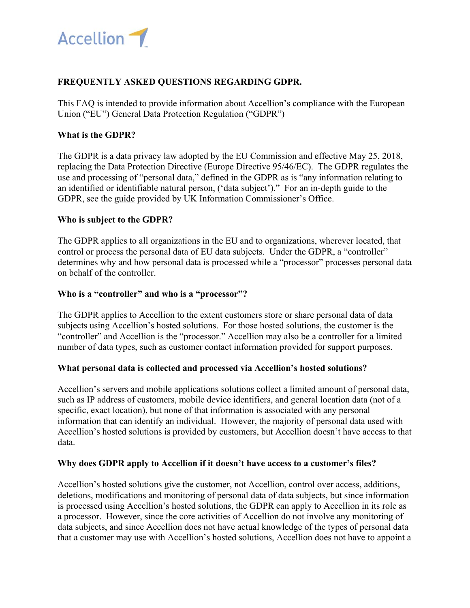

# **FREQUENTLY ASKED QUESTIONS REGARDING GDPR.**

This FAQ is intended to provide information about Accellion's compliance with the European Union ("EU") General Data Protection Regulation ("GDPR")

### **What is the GDPR?**

The GDPR is a data privacy law adopted by the EU Commission and effective May 25, 2018, replacing the Data Protection Directive (Europe Directive 95/46/EC). The GDPR regulates the use and processing of "personal data," defined in the GDPR as is "any information relating to an identified or identifiable natural person, ('data subject')." For an in-depth guide to the GDPR, see the guide provided by UK Information Commissioner's Office.

### **Who is subject to the GDPR?**

The GDPR applies to all organizations in the EU and to organizations, wherever located, that control or process the personal data of EU data subjects. Under the GDPR, a "controller" determines why and how personal data is processed while a "processor" processes personal data on behalf of the controller.

### **Who is a "controller" and who is a "processor"?**

The GDPR applies to Accellion to the extent customers store or share personal data of data subjects using Accellion's hosted solutions. For those hosted solutions, the customer is the "controller" and Accellion is the "processor." Accellion may also be a controller for a limited number of data types, such as customer contact information provided for support purposes.

### **What personal data is collected and processed via Accellion's hosted solutions?**

Accellion's servers and mobile applications solutions collect a limited amount of personal data, such as IP address of customers, mobile device identifiers, and general location data (not of a specific, exact location), but none of that information is associated with any personal information that can identify an individual. However, the majority of personal data used with Accellion's hosted solutions is provided by customers, but Accellion doesn't have access to that data.

### **Why does GDPR apply to Accellion if it doesn't have access to a customer's files?**

Accellion's hosted solutions give the customer, not Accellion, control over access, additions, deletions, modifications and monitoring of personal data of data subjects, but since information is processed using Accellion's hosted solutions, the GDPR can apply to Accellion in its role as a processor. However, since the core activities of Accellion do not involve any monitoring of data subjects, and since Accellion does not have actual knowledge of the types of personal data that a customer may use with Accellion's hosted solutions, Accellion does not have to appoint a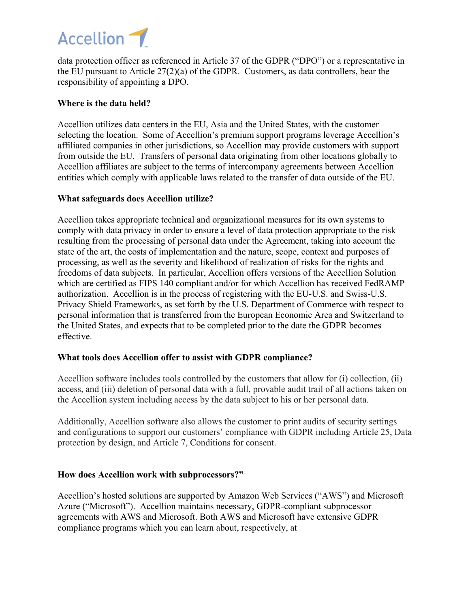

data protection officer as referenced in Article 37 of the GDPR ("DPO") or a representative in the EU pursuant to Article 27(2)(a) of the GDPR. Customers, as data controllers, bear the responsibility of appointing a DPO.

## **Where is the data held?**

Accellion utilizes data centers in the EU, Asia and the United States, with the customer selecting the location. Some of Accellion's premium support programs leverage Accellion's affiliated companies in other jurisdictions, so Accellion may provide customers with support from outside the EU. Transfers of personal data originating from other locations globally to Accellion affiliates are subject to the terms of intercompany agreements between Accellion entities which comply with applicable laws related to the transfer of data outside of the EU.

### **What safeguards does Accellion utilize?**

Accellion takes appropriate technical and organizational measures for its own systems to comply with data privacy in order to ensure a level of data protection appropriate to the risk resulting from the processing of personal data under the Agreement, taking into account the state of the art, the costs of implementation and the nature, scope, context and purposes of processing, as well as the severity and likelihood of realization of risks for the rights and freedoms of data subjects. In particular, Accellion offers versions of the Accellion Solution which are certified as FIPS 140 compliant and/or for which Accellion has received FedRAMP authorization. Accellion is in the process of registering with the EU-U.S. and Swiss-U.S. Privacy Shield Frameworks, as set forth by the U.S. Department of Commerce with respect to personal information that is transferred from the European Economic Area and Switzerland to the United States, and expects that to be completed prior to the date the GDPR becomes effective.

### **What tools does Accellion offer to assist with GDPR compliance?**

Accellion software includes tools controlled by the customers that allow for (i) collection, (ii) access, and (iii) deletion of personal data with a full, provable audit trail of all actions taken on the Accellion system including access by the data subject to his or her personal data.

Additionally, Accellion software also allows the customer to print audits of security settings and configurations to support our customers' compliance with GDPR including Article 25, Data protection by design, and Article 7, Conditions for consent.

### **How does Accellion work with subprocessors?"**

Accellion's hosted solutions are supported by Amazon Web Services ("AWS") and Microsoft Azure ("Microsoft"). Accellion maintains necessary, GDPR-compliant subprocessor agreements with AWS and Microsoft. Both AWS and Microsoft have extensive GDPR compliance programs which you can learn about, respectively, at